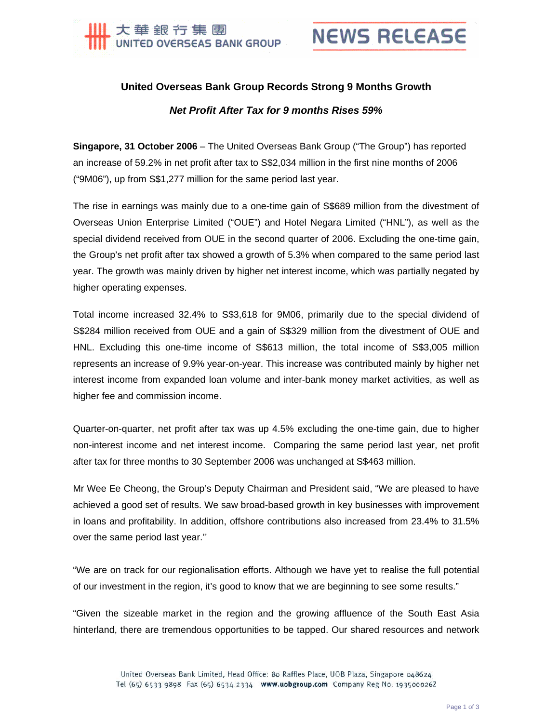

## **NEWS RELEASE**

## **United Overseas Bank Group Records Strong 9 Months Growth**  *Net Profit After Tax for 9 months Rises 59%*

**Singapore, 31 October 2006** – The United Overseas Bank Group ("The Group") has reported an increase of 59.2% in net profit after tax to S\$2,034 million in the first nine months of 2006 ("9M06"), up from S\$1,277 million for the same period last year.

The rise in earnings was mainly due to a one-time gain of S\$689 million from the divestment of Overseas Union Enterprise Limited ("OUE") and Hotel Negara Limited ("HNL"), as well as the special dividend received from OUE in the second quarter of 2006. Excluding the one-time gain, the Group's net profit after tax showed a growth of 5.3% when compared to the same period last year. The growth was mainly driven by higher net interest income, which was partially negated by higher operating expenses.

Total income increased 32.4% to S\$3,618 for 9M06, primarily due to the special dividend of S\$284 million received from OUE and a gain of S\$329 million from the divestment of OUE and HNL. Excluding this one-time income of S\$613 million, the total income of S\$3,005 million represents an increase of 9.9% year-on-year. This increase was contributed mainly by higher net interest income from expanded loan volume and inter-bank money market activities, as well as higher fee and commission income.

Quarter-on-quarter, net profit after tax was up 4.5% excluding the one-time gain, due to higher non-interest income and net interest income. Comparing the same period last year, net profit after tax for three months to 30 September 2006 was unchanged at S\$463 million.

Mr Wee Ee Cheong, the Group's Deputy Chairman and President said, "We are pleased to have achieved a good set of results. We saw broad-based growth in key businesses with improvement in loans and profitability. In addition, offshore contributions also increased from 23.4% to 31.5% over the same period last year.''

"We are on track for our regionalisation efforts. Although we have yet to realise the full potential of our investment in the region, it's good to know that we are beginning to see some results."

"Given the sizeable market in the region and the growing affluence of the South East Asia hinterland, there are tremendous opportunities to be tapped. Our shared resources and network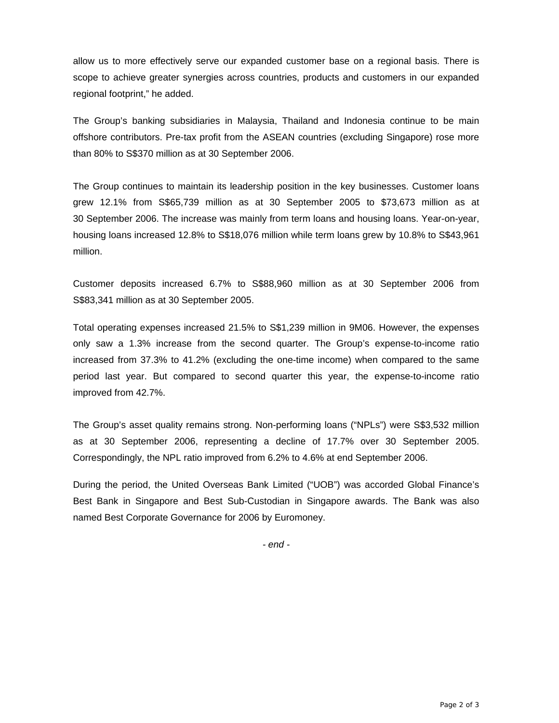allow us to more effectively serve our expanded customer base on a regional basis. There is scope to achieve greater synergies across countries, products and customers in our expanded regional footprint," he added.

The Group's banking subsidiaries in Malaysia, Thailand and Indonesia continue to be main offshore contributors. Pre-tax profit from the ASEAN countries (excluding Singapore) rose more than 80% to S\$370 million as at 30 September 2006.

The Group continues to maintain its leadership position in the key businesses. Customer loans grew 12.1% from S\$65,739 million as at 30 September 2005 to \$73,673 million as at 30 September 2006. The increase was mainly from term loans and housing loans. Year-on-year, housing loans increased 12.8% to S\$18,076 million while term loans grew by 10.8% to S\$43,961 million.

Customer deposits increased 6.7% to S\$88,960 million as at 30 September 2006 from S\$83,341 million as at 30 September 2005.

Total operating expenses increased 21.5% to S\$1,239 million in 9M06. However, the expenses only saw a 1.3% increase from the second quarter. The Group's expense-to-income ratio increased from 37.3% to 41.2% (excluding the one-time income) when compared to the same period last year. But compared to second quarter this year, the expense-to-income ratio improved from 42.7%.

The Group's asset quality remains strong. Non-performing loans ("NPLs") were S\$3,532 million as at 30 September 2006, representing a decline of 17.7% over 30 September 2005. Correspondingly, the NPL ratio improved from 6.2% to 4.6% at end September 2006.

During the period, the United Overseas Bank Limited ("UOB") was accorded Global Finance's Best Bank in Singapore and Best Sub-Custodian in Singapore awards. The Bank was also named Best Corporate Governance for 2006 by Euromoney.

*- end -*